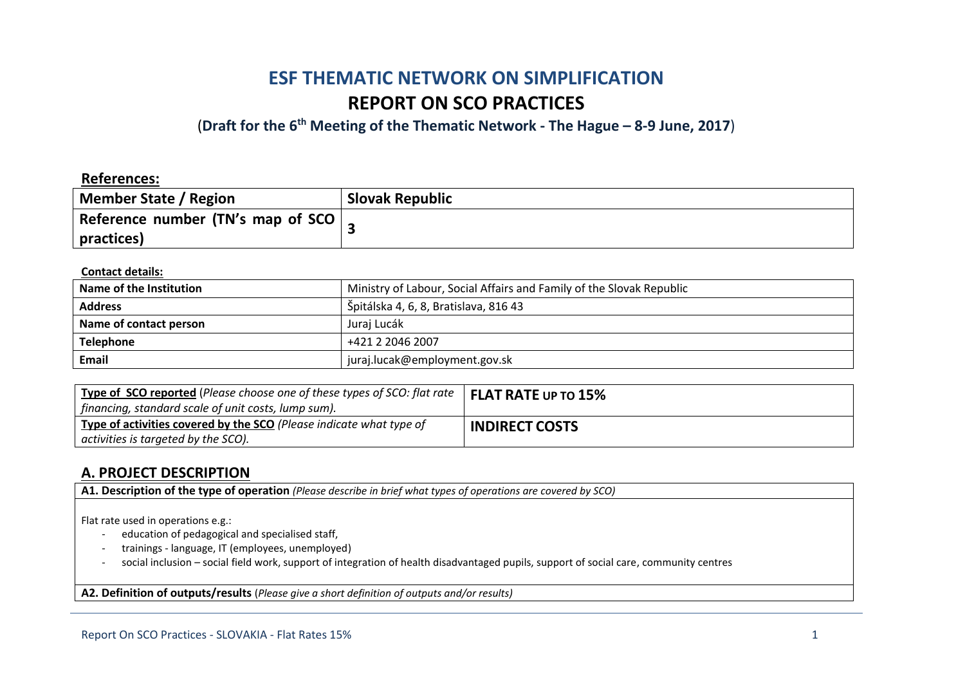# **ESF THEMATIC NETWORK ON SIMPLIFICATION REPORT ON SCO PRACTICES**

(**Draft for the 6th Meeting of the Thematic Network - The Hague – 8-9 June, 2017**)

### **References:**

| Member State / Region                       | <b>Slovak Republic</b> |
|---------------------------------------------|------------------------|
| Reference number (TN's map of SCO $\vert$ , |                        |
| practices)                                  |                        |

#### **Contact details:**

| Name of the Institution | Ministry of Labour, Social Affairs and Family of the Slovak Republic |  |
|-------------------------|----------------------------------------------------------------------|--|
| <b>Address</b>          | Špitálska 4, 6, 8, Bratislava, 816 43                                |  |
| Name of contact person  | Juraj Lucák                                                          |  |
| <b>Telephone</b>        | +421 2 2046 2007                                                     |  |
| <b>Email</b>            | juraj.lucak@employment.gov.sk                                        |  |

| $\vert$ Type of SCO reported (Please choose one of these types of SCO: flat rate $\vert$ FLAT RATE UP TO $15\%$<br>  financing, standard scale of unit costs, lump sum). |                       |
|--------------------------------------------------------------------------------------------------------------------------------------------------------------------------|-----------------------|
| Type of activities covered by the SCO (Please indicate what type of<br>$\vert$ activities is targeted by the SCO).                                                       | <b>INDIRECT COSTS</b> |

### **A. PROJECT DESCRIPTION**

**A1. Description of the type of operation** *(Please describe in brief what types of operations are covered by SCO)*

Flat rate used in operations e.g.:

- education of pedagogical and specialised staff,
- trainings language, IT (employees, unemployed)
- social inclusion social field work, support of integration of health disadvantaged pupils, support of social care, community centres

**A2. Definition of outputs/results** (*Please give a short definition of outputs and/or results)*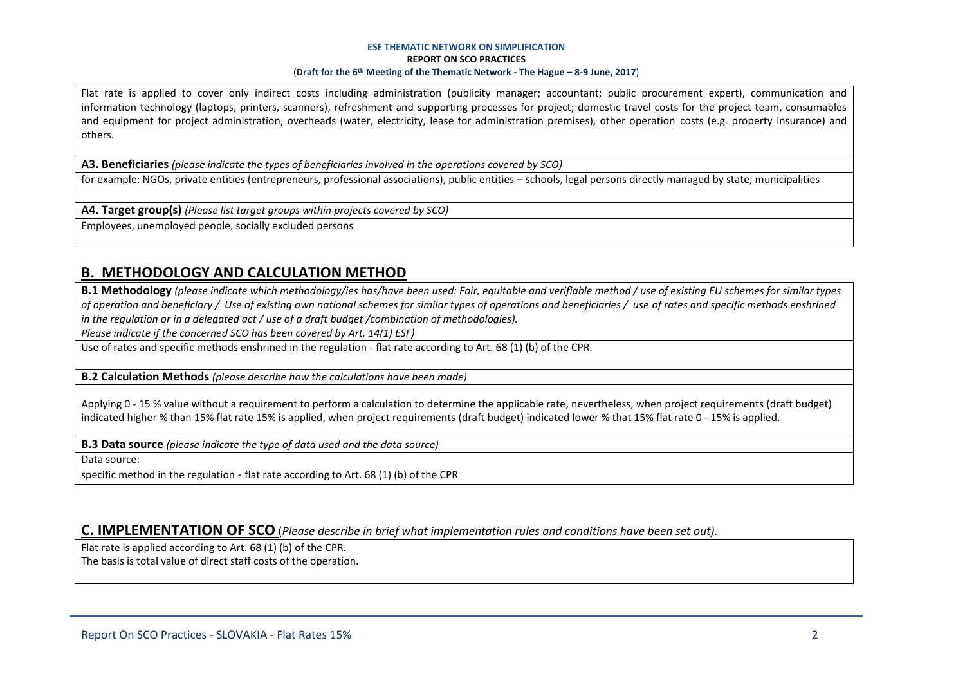#### **ESF THEMATIC NETWORK ON SIMPLIFICATION REPORT ON SCO PRACTICES** (**Draft for the 6th Meeting of the Thematic Network - The Hague – 8-9 June, 2017**)

Flat rate is applied to cover only indirect costs including administration (publicity manager; accountant; public procurement expert), communication and information technology (laptops, printers, scanners), refreshment and supporting processes for project; domestic travel costs for the project team, consumables and equipment for project administration, overheads (water, electricity, lease for administration premises), other operation costs (e.g. property insurance) and others.

**A3. Beneficiaries** *(please indicate the types of beneficiaries involved in the operations covered by SCO)*

for example: NGOs, private entities (entrepreneurs, professional associations), public entities – schools, legal persons directly managed by state, municipalities

**A4. Target group(s)** *(Please list target groups within projects covered by SCO)*

Employees, unemployed people, socially excluded persons

## **B. METHODOLOGY AND CALCULATION METHOD**

**B.1 Methodology** *(please indicate which methodology/ies has/have been used: Fair, equitable and verifiable method / use of existing EU schemes for similar types of operation and beneficiary / Use of existing own national schemes for similar types of operations and beneficiaries / use of rates and specific methods enshrined in the regulation or in a delegated act / use of a draft budget /combination of methodologies).*

*Please indicate if the concerned SCO has been covered by Art. 14(1) ESF)*

Use of rates and specific methods enshrined in the regulation - flat rate according to Art. 68 (1) (b) of the CPR.

**B.2 Calculation Methods** *(please describe how the calculations have been made)*

Applying 0 - 15 % value without a requirement to perform a calculation to determine the applicable rate, nevertheless, when project requirements (draft budget) indicated higher % than 15% flat rate 15% is applied, when project requirements (draft budget) indicated lower % that 15% flat rate 0 - 15% is applied.

**B.3 Data source** *(please indicate the type of data used and the data source)*

Data source:

specific method in the regulation - flat rate according to Art. 68 (1) (b) of the CPR

### **C. IMPLEMENTATION OF SCO** (*Please describe in brief what implementation rules and conditions have been set out).*

Flat rate is applied according to Art. 68 (1) (b) of the CPR.

The basis is total value of direct staff costs of the operation.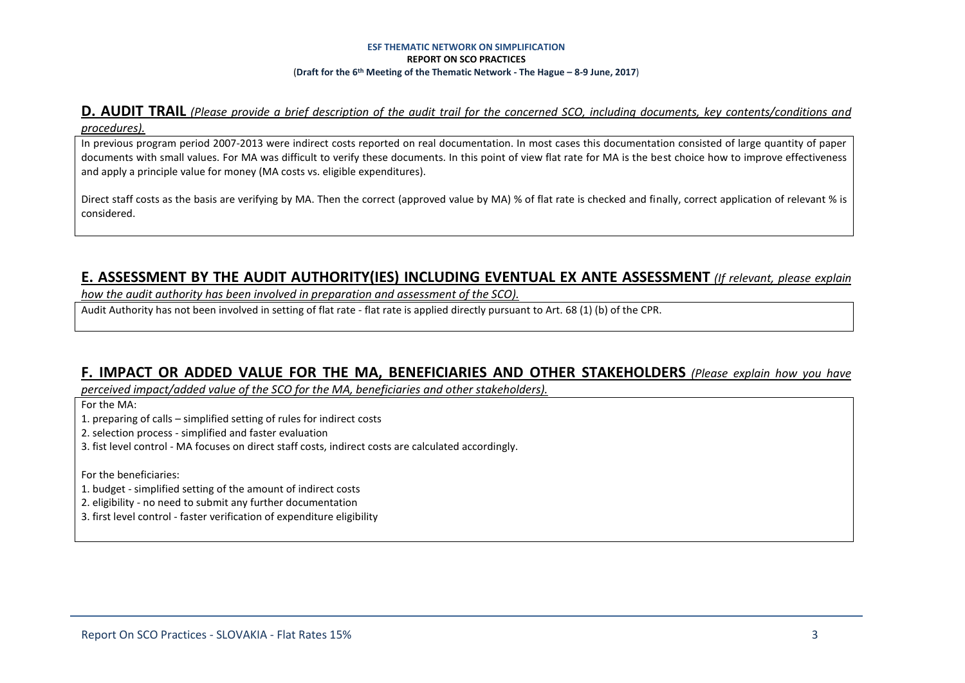#### **ESF THEMATIC NETWORK ON SIMPLIFICATION REPORT ON SCO PRACTICES** (**Draft for the 6th Meeting of the Thematic Network - The Hague – 8-9 June, 2017**)

### **D. AUDIT TRAIL** *(Please provide a brief description of the audit trail for the concerned SCO, including documents, key contents/conditions and procedures).*

In previous program period 2007-2013 were indirect costs reported on real documentation. In most cases this documentation consisted of large quantity of paper documents with small values. For MA was difficult to verify these documents. In this point of view flat rate for MA is the best choice how to improve effectiveness and apply a principle value for money (MA costs vs. eligible expenditures).

Direct staff costs as the basis are verifying by MA. Then the correct (approved value by MA) % of flat rate is checked and finally, correct application of relevant % is considered.

### **E. ASSESSMENT BY THE AUDIT AUTHORITY(IES) INCLUDING EVENTUAL EX ANTE ASSESSMENT** *(If relevant, please explain*

*how the audit authority has been involved in preparation and assessment of the SCO).* 

Audit Authority has not been involved in setting of flat rate - flat rate is applied directly pursuant to Art. 68 (1) (b) of the CPR.

### **F. IMPACT OR ADDED VALUE FOR THE MA, BENEFICIARIES AND OTHER STAKEHOLDERS** *(Please explain how you have*

*perceived impact/added value of the SCO for the MA, beneficiaries and other stakeholders).* 

For the MA:

1. preparing of calls – simplified setting of rules for indirect costs

2. selection process - simplified and faster evaluation

3. fist level control - MA focuses on direct staff costs, indirect costs are calculated accordingly.

For the beneficiaries:

1. budget - simplified setting of the amount of indirect costs

2. eligibility - no need to submit any further documentation

3. first level control - faster verification of expenditure eligibility